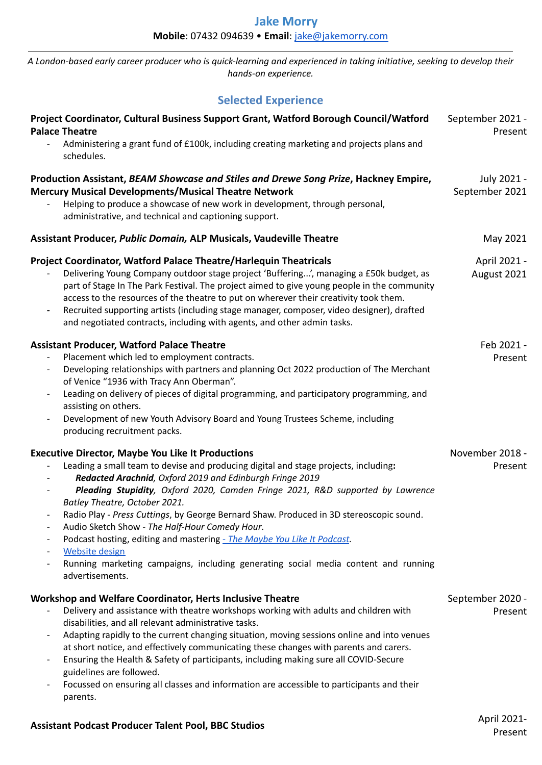A London-based early career producer who is quick-learning and experienced in taking initiative, seeking to develop their *hands-on experience.*

## **Selected Experience**

| Project Coordinator, Cultural Business Support Grant, Watford Borough Council/Watford<br><b>Palace Theatre</b><br>Administering a grant fund of £100k, including creating marketing and projects plans and<br>schedules.                                                                                                                                                                                                                                                                                                                                                                                                                                                                 | September 2021 -<br>Present   |
|------------------------------------------------------------------------------------------------------------------------------------------------------------------------------------------------------------------------------------------------------------------------------------------------------------------------------------------------------------------------------------------------------------------------------------------------------------------------------------------------------------------------------------------------------------------------------------------------------------------------------------------------------------------------------------------|-------------------------------|
| Production Assistant, BEAM Showcase and Stiles and Drewe Song Prize, Hackney Empire,<br><b>Mercury Musical Developments/Musical Theatre Network</b><br>Helping to produce a showcase of new work in development, through personal,<br>administrative, and technical and captioning support.                                                                                                                                                                                                                                                                                                                                                                                              | July 2021 -<br>September 2021 |
| Assistant Producer, Public Domain, ALP Musicals, Vaudeville Theatre                                                                                                                                                                                                                                                                                                                                                                                                                                                                                                                                                                                                                      | May 2021                      |
| Project Coordinator, Watford Palace Theatre/Harlequin Theatricals<br>Delivering Young Company outdoor stage project 'Buffering', managing a £50k budget, as<br>part of Stage In The Park Festival. The project aimed to give young people in the community<br>access to the resources of the theatre to put on wherever their creativity took them.<br>Recruited supporting artists (including stage manager, composer, video designer), drafted<br>$\overline{\phantom{a}}$<br>and negotiated contracts, including with agents, and other admin tasks.                                                                                                                                  | April 2021 -<br>August 2021   |
| <b>Assistant Producer, Watford Palace Theatre</b><br>Placement which led to employment contracts.<br>Developing relationships with partners and planning Oct 2022 production of The Merchant<br>of Venice "1936 with Tracy Ann Oberman".<br>Leading on delivery of pieces of digital programming, and participatory programming, and<br>assisting on others.<br>Development of new Youth Advisory Board and Young Trustees Scheme, including<br>$\overline{\phantom{a}}$<br>producing recruitment packs.                                                                                                                                                                                 | Feb 2021 -<br>Present         |
| <b>Executive Director, Maybe You Like It Productions</b><br>Leading a small team to devise and producing digital and stage projects, including:<br>Redacted Arachnid, Oxford 2019 and Edinburgh Fringe 2019<br>Pleading Stupidity, Oxford 2020, Camden Fringe 2021, R&D supported by Lawrence<br>Batley Theatre, October 2021.<br>Radio Play - Press Cuttings, by George Bernard Shaw. Produced in 3D stereoscopic sound.<br>Audio Sketch Show - The Half-Hour Comedy Hour.<br>Podcast hosting, editing and mastering - The Maybe You Like It Podcast.<br><b>Website design</b><br>Running marketing campaigns, including generating social media content and running<br>advertisements. | November 2018 -<br>Present    |
| <b>Workshop and Welfare Coordinator, Herts Inclusive Theatre</b><br>Delivery and assistance with theatre workshops working with adults and children with<br>disabilities, and all relevant administrative tasks.<br>Adapting rapidly to the current changing situation, moving sessions online and into venues<br>at short notice, and effectively communicating these changes with parents and carers.<br>Ensuring the Health & Safety of participants, including making sure all COVID-Secure<br>guidelines are followed.<br>Focussed on ensuring all classes and information are accessible to participants and their<br>parents.                                                     | September 2020 -<br>Present   |
|                                                                                                                                                                                                                                                                                                                                                                                                                                                                                                                                                                                                                                                                                          | 1.2021                        |

## **Assistant Podcast Producer Talent Pool, BBC Studios** April 2021-

Present